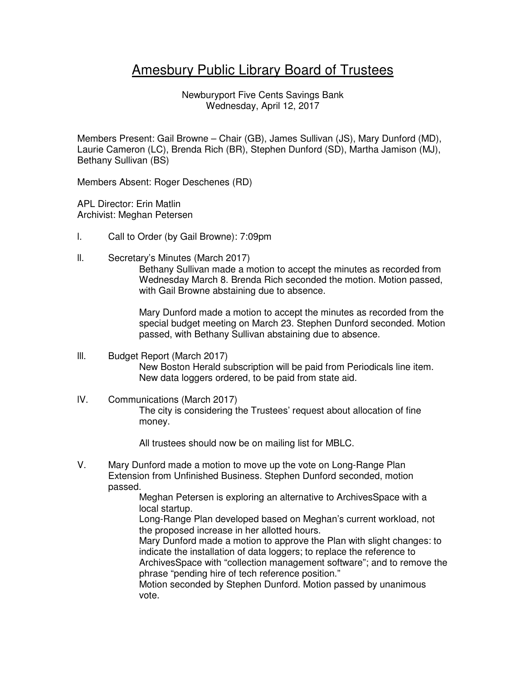## Amesbury Public Library Board of Trustees

Newburyport Five Cents Savings Bank Wednesday, April 12, 2017

Members Present: Gail Browne – Chair (GB), James Sullivan (JS), Mary Dunford (MD), Laurie Cameron (LC), Brenda Rich (BR), Stephen Dunford (SD), Martha Jamison (MJ), Bethany Sullivan (BS)

Members Absent: Roger Deschenes (RD)

APL Director: Erin Matlin Archivist: Meghan Petersen

- l. Call to Order (by Gail Browne): 7:09pm
- ll. Secretary's Minutes (March 2017)

Bethany Sullivan made a motion to accept the minutes as recorded from Wednesday March 8. Brenda Rich seconded the motion. Motion passed, with Gail Browne abstaining due to absence.

Mary Dunford made a motion to accept the minutes as recorded from the special budget meeting on March 23. Stephen Dunford seconded. Motion passed, with Bethany Sullivan abstaining due to absence.

- lll. Budget Report (March 2017) New Boston Herald subscription will be paid from Periodicals line item. New data loggers ordered, to be paid from state aid.
- lV. Communications (March 2017) The city is considering the Trustees' request about allocation of fine money.

All trustees should now be on mailing list for MBLC.

V. Mary Dunford made a motion to move up the vote on Long-Range Plan Extension from Unfinished Business. Stephen Dunford seconded, motion passed.

Meghan Petersen is exploring an alternative to ArchivesSpace with a local startup.

Long-Range Plan developed based on Meghan's current workload, not the proposed increase in her allotted hours.

Mary Dunford made a motion to approve the Plan with slight changes: to indicate the installation of data loggers; to replace the reference to ArchivesSpace with "collection management software"; and to remove the phrase "pending hire of tech reference position."

Motion seconded by Stephen Dunford. Motion passed by unanimous vote.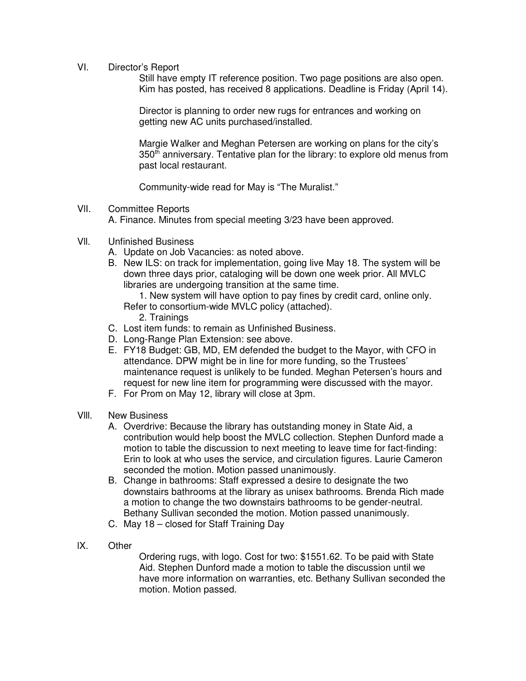VI. Director's Report

Still have empty IT reference position. Two page positions are also open. Kim has posted, has received 8 applications. Deadline is Friday (April 14).

Director is planning to order new rugs for entrances and working on getting new AC units purchased/installed.

Margie Walker and Meghan Petersen are working on plans for the city's 350<sup>th</sup> anniversary. Tentative plan for the library: to explore old menus from past local restaurant.

Community-wide read for May is "The Muralist."

VlI. Committee Reports

A. Finance. Minutes from special meeting 3/23 have been approved.

- Vll. Unfinished Business
	- A. Update on Job Vacancies: as noted above.
	- B. New ILS: on track for implementation, going live May 18. The system will be down three days prior, cataloging will be down one week prior. All MVLC libraries are undergoing transition at the same time.

1. New system will have option to pay fines by credit card, online only. Refer to consortium-wide MVLC policy (attached).

- 2. Trainings
- C. Lost item funds: to remain as Unfinished Business.
- D. Long-Range Plan Extension: see above.
- E. FY18 Budget: GB, MD, EM defended the budget to the Mayor, with CFO in attendance. DPW might be in line for more funding, so the Trustees' maintenance request is unlikely to be funded. Meghan Petersen's hours and request for new line item for programming were discussed with the mayor.
- F. For Prom on May 12, library will close at 3pm.
- Vlll. New Business
	- A. Overdrive: Because the library has outstanding money in State Aid, a contribution would help boost the MVLC collection. Stephen Dunford made a motion to table the discussion to next meeting to leave time for fact-finding: Erin to look at who uses the service, and circulation figures. Laurie Cameron seconded the motion. Motion passed unanimously.
	- B. Change in bathrooms: Staff expressed a desire to designate the two downstairs bathrooms at the library as unisex bathrooms. Brenda Rich made a motion to change the two downstairs bathrooms to be gender-neutral. Bethany Sullivan seconded the motion. Motion passed unanimously.
	- C. May 18 closed for Staff Training Day
- lX. Other

Ordering rugs, with logo. Cost for two: \$1551.62. To be paid with State Aid. Stephen Dunford made a motion to table the discussion until we have more information on warranties, etc. Bethany Sullivan seconded the motion. Motion passed.